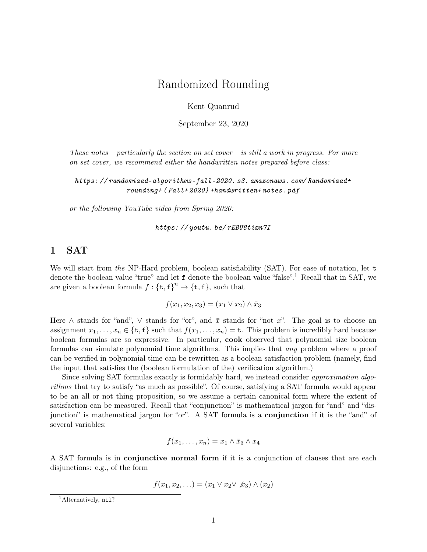# Randomized Rounding

Kent Quanrud

September 23, 2020

These notes – particularly the section on set cover – is still a work in progress. For more on set cover, we recommend either the handwritten notes prepared before class:

[https: // randomized-algorithms-fall-2020. s3. amazonaws. com/ Randomized+](https://randomized-algorithms-fall-2020.s3.amazonaws.com/Randomized+rounding+(Fall+2020)+handwritten+notes.pdf) [rounding+ \( Fall+ 2020\) +handwritten+ notes. pdf](https://randomized-algorithms-fall-2020.s3.amazonaws.com/Randomized+rounding+(Fall+2020)+handwritten+notes.pdf)

or the following YouTube video from Spring 2020:

[https: // youtu. be/ rEBU8tixn7I](https://youtu.be/rEBU8tixn7I)

### 1 SAT

We will start from the NP-Hard problem, boolean satisfiability (SAT). For ease of notation, let t denote the boolean value "true" and let f denote the boolean value "false".<sup>1</sup> Recall that in SAT, we are given a boolean formula  $f: {\{\texttt{t},\texttt{f}\}}^n \to {\{\texttt{t},\texttt{f}\}}$ , such that

$$
f(x_1, x_2, x_3) = (x_1 \vee x_2) \wedge \bar{x}_3
$$

Here  $\wedge$  stands for "and",  $\vee$  stands for "or", and  $\bar{x}$  stands for "not x". The goal is to choose an assignment  $x_1, \ldots, x_n \in \{\texttt{t}, \texttt{f}\}\$  such that  $f(x_1, \ldots, x_n) = \texttt{t}$ . This problem is incredibly hard because boolean formulas are so expressive. In particular, cook observed that polynomial size boolean formulas can simulate polynomial time algorithms. This implies that any problem where a proof can be verified in polynomial time can be rewritten as a boolean satisfaction problem (namely, find the input that satisfies the (boolean formulation of the) verification algorithm.)

Since solving SAT formulas exactly is formidably hard, we instead consider *approximation algo*rithms that try to satisfy "as much as possible". Of course, satisfying a SAT formula would appear to be an all or not thing proposition, so we assume a certain canonical form where the extent of satisfaction can be measured. Recall that "conjunction" is mathematical jargon for "and" and "disjunction" is mathematical jargon for "or". A SAT formula is a **conjunction** if it is the "and" of several variables:

$$
f(x_1,\ldots,x_n)=x_1\wedge \bar{x}_3\wedge x_4
$$

A SAT formula is in conjunctive normal form if it is a conjunction of clauses that are each disjunctions: e.g., of the form

$$
f(x_1, x_2,...) = (x_1 \vee x_2 \vee x_3) \wedge (x_2)
$$

<sup>&</sup>lt;sup>1</sup>Alternatively, nil?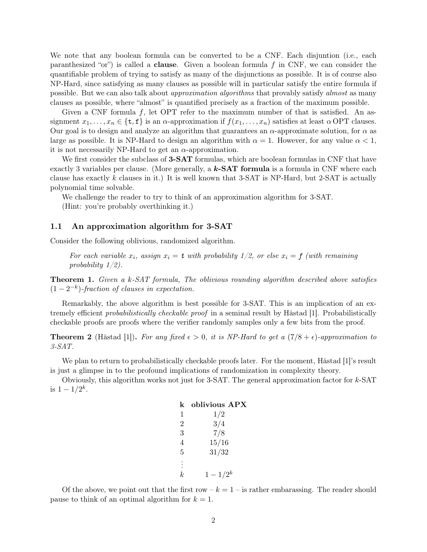We note that any boolean formula can be converted to be a CNF. Each disjuntion (i.e., each paranthesized "or") is called a **clause**. Given a boolean formula  $f$  in CNF, we can consider the quantifiable problem of trying to satisfy as many of the disjunctions as possible. It is of course also NP-Hard, since satisfying as many clauses as possible will in particular satisfy the entire formula if possible. But we can also talk about approximation algorithms that provably satisfy almost as many clauses as possible, where "almost" is quantified precisely as a fraction of the maximum possible.

Given a CNF formula f, let OPT refer to the maximum number of that is satisfied. An assignment  $x_1, \ldots, x_n \in \{\texttt{t}, \texttt{f}\}\$ is an  $\alpha$ -approximation if  $f(x_1, \ldots, x_n)$  satisfies at least  $\alpha$  OPT clauses. Our goal is to design and analyze an algorithm that guarantees an  $\alpha$ -approximate solution, for  $\alpha$  as large as possible. It is NP-Hard to design an algorithm with  $\alpha = 1$ . However, for any value  $\alpha < 1$ , it is not necessarily NP-Hard to get an  $\alpha$ -approximation.

We first consider the subclass of **3-SAT** formulas, which are boolean formulas in CNF that have exactly 3 variables per clause. (More generally, a  $k$ -SAT formula is a formula in CNF where each clause has exactly  $k$  clauses in it.) It is well known that 3-SAT is NP-Hard, but 2-SAT is actually polynomial time solvable.

We challenge the reader to try to think of an approximation algorithm for 3-SAT.

(Hint: you're probably overthinking it.)

#### 1.1 An approximation algorithm for 3-SAT

Consider the following oblivious, randomized algorithm.

For each variable  $x_i$ , assign  $x_i = t$  with probability  $1/2$ , or else  $x_i = f$  (with remaining probability 1/2).

Theorem 1. Given a k-SAT formula, The oblivious rounding algorithm described above satisfies  $(1-2^{-k})$ -fraction of clauses in expectation.

Remarkably, the above algorithm is best possible for 3-SAT. This is an implication of an extremely efficient probabilistically checkable proof in a seminal result by Håstad [\[1\]](#page-5-0). Probabilistically checkable proofs are proofs where the verifier randomly samples only a few bits from the proof.

**Theorem 2** (Håstad [\[1\]](#page-5-0)). For any fixed  $\epsilon > 0$ , it is NP-Hard to get a  $(7/8 + \epsilon)$ -approximation to 3-SAT.

We plan to return to probabilistically checkable proofs later. For the moment, Håstad [\[1\]](#page-5-0)'s result is just a glimpse in to the profound implications of randomization in complexity theory.

Obviously, this algorithm works not just for  $3$ -SAT. The general approximation factor for  $k$ -SAT is  $1 - 1/2^k$ .

| k              | oblivious APX |
|----------------|---------------|
| 1              | 1/2           |
| $\overline{2}$ | 3/4           |
| 3              | 7/8           |
| 4              | 15/16         |
| 5              | 31/32         |
| $\ddot{\cdot}$ |               |
| k              | $1 - 1/2^k$   |
|                |               |

Of the above, we point out that the first row  $-k = 1 -$  is rather embarassing. The reader should pause to think of an optimal algorithm for  $k = 1$ .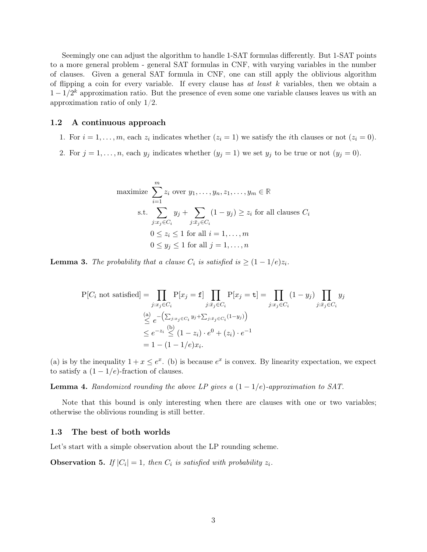Seemingly one can adjust the algorithm to handle 1-SAT formulas differently. But 1-SAT points to a more general problem - general SAT formulas in CNF, with varying variables in the number of clauses. Given a general SAT formula in CNF, one can still apply the oblivious algorithm of flipping a coin for every variable. If every clause has  $at$  least  $k$  variables, then we obtain a  $1 - 1/2<sup>k</sup>$  approximation ratio. But the presence of even some one variable clauses leaves us with an approximation ratio of only 1/2.

#### 1.2 A continuous approach

- 1. For  $i = 1, \ldots, m$ , each  $z_i$  indicates whether  $(z_i = 1)$  we satisfy the *i*th clauses or not  $(z_i = 0)$ .
- 2. For  $j = 1, ..., n$ , each  $y_j$  indicates whether  $(y_j = 1)$  we set  $y_j$  to be true or not  $(y_j = 0)$ .

maximize 
$$
\sum_{i=1}^{m} z_i \text{ over } y_1, \dots, y_n, z_1, \dots, y_m \in \mathbb{R}
$$
  
s.t. 
$$
\sum_{j:x_j \in C_i} y_j + \sum_{j:\bar{x}_j \in C_i} (1 - y_j) \ge z_i \text{ for all clauses } C_i
$$

$$
0 \le z_i \le 1 \text{ for all } i = 1, \dots, m
$$

$$
0 \le y_j \le 1 \text{ for all } j = 1, \dots, n
$$

**Lemma 3.** The probability that a clause  $C_i$  is satisfied is  $\geq (1 - 1/e)z_i$ .

$$
P[C_i \text{ not satisfied}] = \prod_{j:x_j \in C_i} P[x_j = f] \prod_{j:\bar{x}_j \in C_i} P[x_j = t] = \prod_{j:x_j \in C_i} (1 - y_j) \prod_{j:\bar{x}_j \in C_i} y_j
$$
  

$$
\stackrel{(a)}{\leq} e^{-\left(\sum_{j:x_j \in C_i} y_j + \sum_{j:\bar{x}_j \in C_i} (1 - y_j)\right)}
$$
  

$$
\leq e^{-z_i} \stackrel{(b)}{\leq} (1 - z_i) \cdot e^0 + (z_i) \cdot e^{-1}
$$
  

$$
= 1 - (1 - 1/e)x_i.
$$

(a) is by the inequality  $1 + x \le e^x$ . (b) is because  $e^x$  is convex. By linearity expectation, we expect to satisfy a  $(1 - 1/e)$ -fraction of clauses.

**Lemma 4.** Randomized rounding the above LP gives a  $(1 - 1/e)$ -approximation to SAT.

Note that this bound is only interesting when there are clauses with one or two variables; otherwise the oblivious rounding is still better.

#### 1.3 The best of both worlds

Let's start with a simple observation about the LP rounding scheme.

**Observation 5.** If  $|C_i| = 1$ , then  $C_i$  is satisfied with probability  $z_i$ .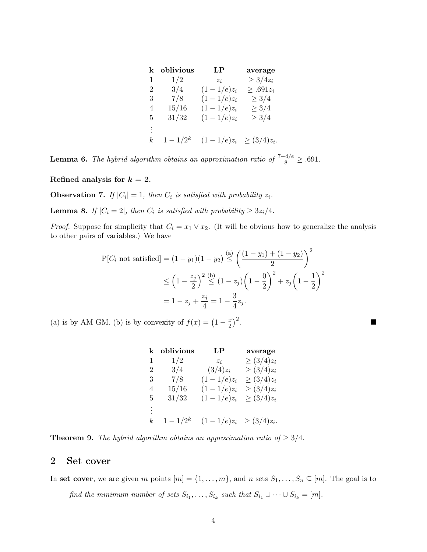| k        | oblivious   | LP           | average          |
|----------|-------------|--------------|------------------|
| 1        | 1/2         | $z_i$        | $\geq 3/4z_i$    |
| 2        | 3/4         | $(1-1/e)z_i$ | $\geq .691z_i$   |
| 3        | 7/8         | $(1-1/e)z_i$ | $\geq 3/4$       |
| 4        | 15/16       | $(1-1/e)z_i$ | $\geq 3/4$       |
| 5        | 31/32       | $(1-1/e)z_i$ | $\geq 3/4$       |
| $\vdots$ |             |              |                  |
| k,       | $1 - 1/2^k$ | $(1-1/e)z_i$ | $\geq (3/4)z_i.$ |

**Lemma 6.** The hybrid algorithm obtains an approximation ratio of  $\frac{7-4/e}{8} \geq .691$ .

Refined analysis for  $k = 2$ .

**Observation 7.** If  $|C_i| = 1$ , then  $C_i$  is satisfied with probability  $z_i$ .

**Lemma 8.** If  $|C_i = 2|$ , then  $C_i$  is satisfied with probability  $\geq 3z_i/4$ .

*Proof.* Suppose for simplicity that  $C_i = x_1 \vee x_2$ . (It will be obvious how to generalize the analysis to other pairs of variables.) We have

$$
P[C_i \text{ not satisfied}] = (1 - y_1)(1 - y_2) \stackrel{\text{(a)}}{\leq} \left(\frac{(1 - y_1) + (1 - y_2)}{2}\right)^2
$$
  

$$
\leq \left(1 - \frac{z_j}{2}\right)^2 \stackrel{\text{(b)}}{\leq} (1 - z_j) \left(1 - \frac{0}{2}\right)^2 + z_j \left(1 - \frac{1}{2}\right)^2
$$
  

$$
= 1 - z_j + \frac{z_j}{4} = 1 - \frac{3}{4}z_j.
$$

(a) is by AM-GM. (b) is by convexity of  $f(x) = \left(1 - \frac{x}{2}\right)$  $(\frac{x}{2})^2$ .

| k        | oblivious   | LP                          | average         |
|----------|-------------|-----------------------------|-----------------|
| 1        | 1/2         | $z_i$                       | $\geq (3/4)z_i$ |
| 2        | 3/4         | $(3/4)z_i$                  | $\geq (3/4)z_i$ |
| 3        | 7/8         | $(1-1/e)z_i$                | $\geq (3/4)z_i$ |
| 4        | 15/16       | $(1-1/e)z_i$                | $\geq (3/4)z_i$ |
| 5        | 31/32       | $(1-1/e)z_i$                | $\geq (3/4)z_i$ |
| $\vdots$ |             |                             |                 |
| k,       | $1 - 1/2^k$ | $(1-1/e)z_i \geq (3/4)z_i.$ |                 |

**Theorem 9.** The hybrid algorithm obtains an approximation ratio of  $\geq 3/4$ .

## 2 Set cover

In set cover, we are given m points  $[m] = \{1, \ldots, m\}$ , and n sets  $S_1, \ldots, S_n \subseteq [m]$ . The goal is to

find the minimum number of sets  $S_{i_1}, \ldots, S_{i_k}$  such that  $S_{i_1} \cup \cdots \cup S_{i_k} = [m]$ .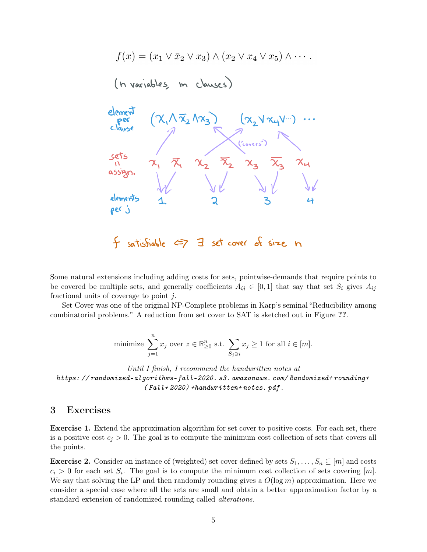

Some natural extensions including adding costs for sets, pointwise-demands that require points to be covered be multiple sets, and generally coefficients  $A_{ij} \in [0,1]$  that say that set  $S_i$  gives  $A_{ij}$ fractional units of coverage to point j.

Set Cover was one of the original NP-Complete problems in Karp's seminal "Reducibility among combinatorial problems." A reduction from set cover to SAT is sketched out in Figure ??.

minimize 
$$
\sum_{j=1}^{n} x_j
$$
 over  $z \in \mathbb{R}^n_{\geq 0}$  s.t.  $\sum_{S_j \ni i} x_j \geq 1$  for all  $i \in [m]$ .

Until I finish, I recommend the handwritten notes at [https: // randomized-algorithms-fall-2020. s3. amazonaws. com/ Randomized+ rounding+](https://randomized-algorithms-fall-2020.s3.amazonaws.com/Randomized+rounding+(Fall+2020)+handwritten+notes.pdf)  $(Fall+2020)$  +handwritten+ notes. pdf.

### 3 Exercises

Exercise 1. Extend the approximation algorithm for set cover to positive costs. For each set, there is a positive cost  $c_j > 0$ . The goal is to compute the minimum cost collection of sets that covers all the points.

**Exercise 2.** Consider an instance of (weighted) set cover defined by sets  $S_1, \ldots, S_n \subseteq [m]$  and costs  $c_i > 0$  for each set  $S_i$ . The goal is to compute the minimum cost collection of sets covering  $[m]$ . We say that solving the LP and then randomly rounding gives a  $O(\log m)$  approximation. Here we consider a special case where all the sets are small and obtain a better approximation factor by a standard extension of randomized rounding called alterations.